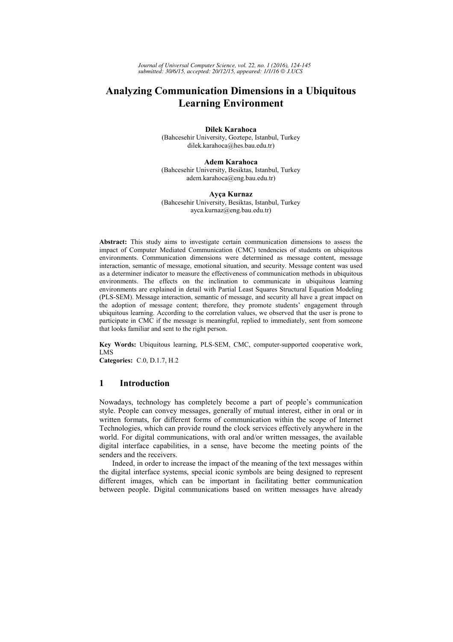# **Analyzing Communication Dimensions in a Ubiquitous Learning Environment**

**Dilek Karahoca**  (Bahcesehir University, Goztepe, Istanbul, Turkey dilek.karahoca@hes.bau.edu.tr)

**Adem Karahoca**  (Bahcesehir University, Besiktas, Istanbul, Turkey adem.karahoca@eng.bau.edu.tr)

#### **Ayça Kurnaz**  (Bahcesehir University, Besiktas, Istanbul, Turkey ayca.kurnaz@eng.bau.edu.tr)

**Abstract:** This study aims to investigate certain communication dimensions to assess the impact of Computer Mediated Communication (CMC) tendencies of students on ubiquitous environments. Communication dimensions were determined as message content, message interaction, semantic of message, emotional situation, and security. Message content was used as a determiner indicator to measure the effectiveness of communication methods in ubiquitous environments. The effects on the inclination to communicate in ubiquitous learning environments are explained in detail with Partial Least Squares Structural Equation Modeling (PLS-SEM). Message interaction, semantic of message, and security all have a great impact on the adoption of message content; therefore, they promote students' engagement through ubiquitous learning. According to the correlation values, we observed that the user is prone to participate in CMC if the message is meaningful, replied to immediately, sent from someone that looks familiar and sent to the right person.

**Key Words:** Ubiquitous learning, PLS-SEM, CMC, computer-supported cooperative work, LMS

**Categories:** C.0, D.1.7, H.2

# **1 Introduction**

Nowadays, technology has completely become a part of people's communication style. People can convey messages, generally of mutual interest, either in oral or in written formats, for different forms of communication within the scope of Internet Technologies, which can provide round the clock services effectively anywhere in the world. For digital communications, with oral and/or written messages, the available digital interface capabilities, in a sense, have become the meeting points of the senders and the receivers.

Indeed, in order to increase the impact of the meaning of the text messages within the digital interface systems, special iconic symbols are being designed to represent different images, which can be important in facilitating better communication between people. Digital communications based on written messages have already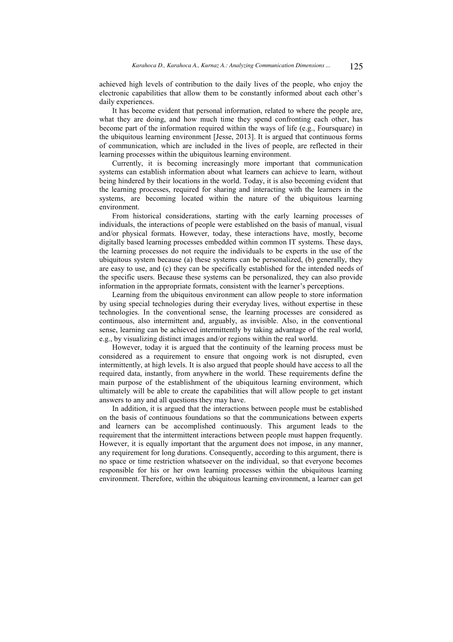achieved high levels of contribution to the daily lives of the people, who enjoy the electronic capabilities that allow them to be constantly informed about each other's daily experiences.

It has become evident that personal information, related to where the people are, what they are doing, and how much time they spend confronting each other, has become part of the information required within the ways of life (e.g., Foursquare) in the ubiquitous learning environment [Jesse, 2013]. It is argued that continuous forms of communication, which are included in the lives of people, are reflected in their learning processes within the ubiquitous learning environment.

Currently, it is becoming increasingly more important that communication systems can establish information about what learners can achieve to learn, without being hindered by their locations in the world. Today, it is also becoming evident that the learning processes, required for sharing and interacting with the learners in the systems, are becoming located within the nature of the ubiquitous learning environment.

From historical considerations, starting with the early learning processes of individuals, the interactions of people were established on the basis of manual, visual and/or physical formats. However, today, these interactions have, mostly, become digitally based learning processes embedded within common IT systems. These days, the learning processes do not require the individuals to be experts in the use of the ubiquitous system because (a) these systems can be personalized, (b) generally, they are easy to use, and (c) they can be specifically established for the intended needs of the specific users. Because these systems can be personalized, they can also provide information in the appropriate formats, consistent with the learner's perceptions.

Learning from the ubiquitous environment can allow people to store information by using special technologies during their everyday lives, without expertise in these technologies. In the conventional sense, the learning processes are considered as continuous, also intermittent and, arguably, as invisible. Also, in the conventional sense, learning can be achieved intermittently by taking advantage of the real world, e.g., by visualizing distinct images and/or regions within the real world.

However, today it is argued that the continuity of the learning process must be considered as a requirement to ensure that ongoing work is not disrupted, even intermittently, at high levels. It is also argued that people should have access to all the required data, instantly, from anywhere in the world. These requirements define the main purpose of the establishment of the ubiquitous learning environment, which ultimately will be able to create the capabilities that will allow people to get instant answers to any and all questions they may have.

In addition, it is argued that the interactions between people must be established on the basis of continuous foundations so that the communications between experts and learners can be accomplished continuously. This argument leads to the requirement that the intermittent interactions between people must happen frequently. However, it is equally important that the argument does not impose, in any manner, any requirement for long durations. Consequently, according to this argument, there is no space or time restriction whatsoever on the individual, so that everyone becomes responsible for his or her own learning processes within the ubiquitous learning environment. Therefore, within the ubiquitous learning environment, a learner can get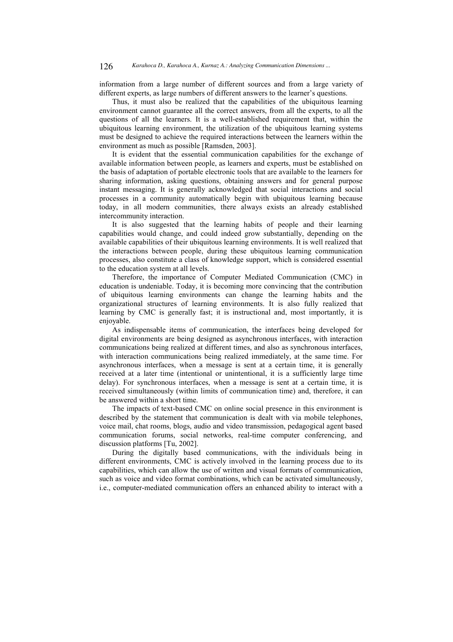information from a large number of different sources and from a large variety of different experts, as large numbers of different answers to the learner's questions.

Thus, it must also be realized that the capabilities of the ubiquitous learning environment cannot guarantee all the correct answers, from all the experts, to all the questions of all the learners. It is a well-established requirement that, within the ubiquitous learning environment, the utilization of the ubiquitous learning systems must be designed to achieve the required interactions between the learners within the environment as much as possible [Ramsden, 2003].

It is evident that the essential communication capabilities for the exchange of available information between people, as learners and experts, must be established on the basis of adaptation of portable electronic tools that are available to the learners for sharing information, asking questions, obtaining answers and for general purpose instant messaging. It is generally acknowledged that social interactions and social processes in a community automatically begin with ubiquitous learning because today, in all modern communities, there always exists an already established intercommunity interaction.

It is also suggested that the learning habits of people and their learning capabilities would change, and could indeed grow substantially, depending on the available capabilities of their ubiquitous learning environments. It is well realized that the interactions between people, during these ubiquitous learning communication processes, also constitute a class of knowledge support, which is considered essential to the education system at all levels.

Therefore, the importance of Computer Mediated Communication (CMC) in education is undeniable. Today, it is becoming more convincing that the contribution of ubiquitous learning environments can change the learning habits and the organizational structures of learning environments. It is also fully realized that learning by CMC is generally fast; it is instructional and, most importantly, it is enjoyable.

As indispensable items of communication, the interfaces being developed for digital environments are being designed as asynchronous interfaces, with interaction communications being realized at different times, and also as synchronous interfaces, with interaction communications being realized immediately, at the same time. For asynchronous interfaces, when a message is sent at a certain time, it is generally received at a later time (intentional or unintentional, it is a sufficiently large time delay). For synchronous interfaces, when a message is sent at a certain time, it is received simultaneously (within limits of communication time) and, therefore, it can be answered within a short time.

The impacts of text-based CMC on online social presence in this environment is described by the statement that communication is dealt with via mobile telephones, voice mail, chat rooms, blogs, audio and video transmission, pedagogical agent based communication forums, social networks, real-time computer conferencing, and discussion platforms [Tu, 2002].

During the digitally based communications, with the individuals being in different environments, CMC is actively involved in the learning process due to its capabilities, which can allow the use of written and visual formats of communication, such as voice and video format combinations, which can be activated simultaneously, i.e., computer-mediated communication offers an enhanced ability to interact with a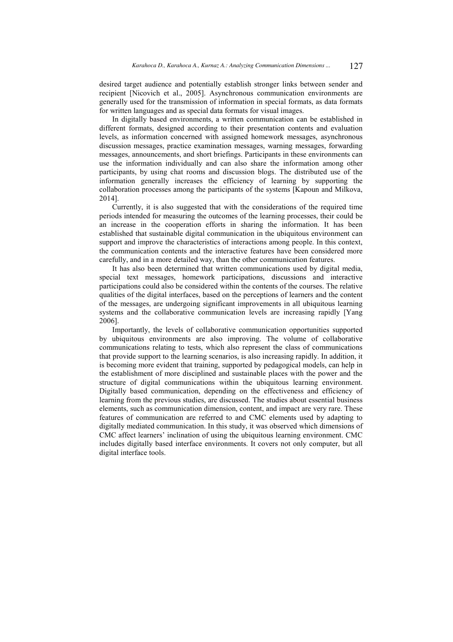desired target audience and potentially establish stronger links between sender and recipient [Nicovich et al., 2005]. Asynchronous communication environments are generally used for the transmission of information in special formats, as data formats for written languages and as special data formats for visual images.

In digitally based environments, a written communication can be established in different formats, designed according to their presentation contents and evaluation levels, as information concerned with assigned homework messages, asynchronous discussion messages, practice examination messages, warning messages, forwarding messages, announcements, and short briefings. Participants in these environments can use the information individually and can also share the information among other participants, by using chat rooms and discussion blogs. The distributed use of the information generally increases the efficiency of learning by supporting the collaboration processes among the participants of the systems [Kapoun and Milkova, 2014].

Currently, it is also suggested that with the considerations of the required time periods intended for measuring the outcomes of the learning processes, their could be an increase in the cooperation efforts in sharing the information. It has been established that sustainable digital communication in the ubiquitous environment can support and improve the characteristics of interactions among people. In this context, the communication contents and the interactive features have been considered more carefully, and in a more detailed way, than the other communication features.

It has also been determined that written communications used by digital media, special text messages, homework participations, discussions and interactive participations could also be considered within the contents of the courses. The relative qualities of the digital interfaces, based on the perceptions of learners and the content of the messages, are undergoing significant improvements in all ubiquitous learning systems and the collaborative communication levels are increasing rapidly [Yang] 2006].

Importantly, the levels of collaborative communication opportunities supported by ubiquitous environments are also improving. The volume of collaborative communications relating to tests, which also represent the class of communications that provide support to the learning scenarios, is also increasing rapidly. In addition, it is becoming more evident that training, supported by pedagogical models, can help in the establishment of more disciplined and sustainable places with the power and the structure of digital communications within the ubiquitous learning environment. Digitally based communication, depending on the effectiveness and efficiency of learning from the previous studies, are discussed. The studies about essential business elements, such as communication dimension, content, and impact are very rare. These features of communication are referred to and CMC elements used by adapting to digitally mediated communication. In this study, it was observed which dimensions of CMC affect learners' inclination of using the ubiquitous learning environment. CMC includes digitally based interface environments. It covers not only computer, but all digital interface tools.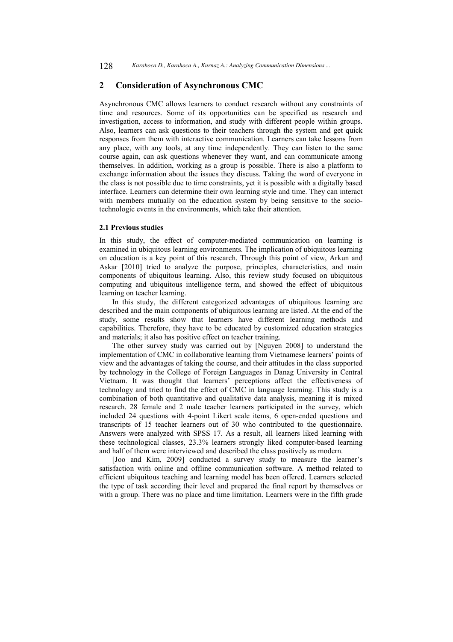### **2 Consideration of Asynchronous CMC**

Asynchronous CMC allows learners to conduct research without any constraints of time and resources. Some of its opportunities can be specified as research and investigation, access to information, and study with different people within groups. Also, learners can ask questions to their teachers through the system and get quick responses from them with interactive communication. Learners can take lessons from any place, with any tools, at any time independently. They can listen to the same course again, can ask questions whenever they want, and can communicate among themselves. In addition, working as a group is possible. There is also a platform to exchange information about the issues they discuss. Taking the word of everyone in the class is not possible due to time constraints, yet it is possible with a digitally based interface. Learners can determine their own learning style and time. They can interact with members mutually on the education system by being sensitive to the sociotechnologic events in the environments, which take their attention.

#### **2.1 Previous studies**

In this study, the effect of computer-mediated communication on learning is examined in ubiquitous learning environments. The implication of ubiquitous learning on education is a key point of this research. Through this point of view, Arkun and Askar [2010] tried to analyze the purpose, principles, characteristics, and main components of ubiquitous learning. Also, this review study focused on ubiquitous computing and ubiquitous intelligence term, and showed the effect of ubiquitous learning on teacher learning.

In this study, the different categorized advantages of ubiquitous learning are described and the main components of ubiquitous learning are listed. At the end of the study, some results show that learners have different learning methods and capabilities. Therefore, they have to be educated by customized education strategies and materials; it also has positive effect on teacher training.

The other survey study was carried out by [Nguyen 2008] to understand the implementation of CMC in collaborative learning from Vietnamese learners' points of view and the advantages of taking the course, and their attitudes in the class supported by technology in the College of Foreign Languages in Danag University in Central Vietnam. It was thought that learners' perceptions affect the effectiveness of technology and tried to find the effect of CMC in language learning. This study is a combination of both quantitative and qualitative data analysis, meaning it is mixed research. 28 female and 2 male teacher learners participated in the survey, which included 24 questions with 4-point Likert scale items, 6 open-ended questions and transcripts of 15 teacher learners out of 30 who contributed to the questionnaire. Answers were analyzed with SPSS 17. As a result, all learners liked learning with these technological classes, 23.3% learners strongly liked computer-based learning and half of them were interviewed and described the class positively as modern.

[Joo and Kim, 2009] conducted a survey study to measure the learner's satisfaction with online and offline communication software. A method related to efficient ubiquitous teaching and learning model has been offered. Learners selected the type of task according their level and prepared the final report by themselves or with a group. There was no place and time limitation. Learners were in the fifth grade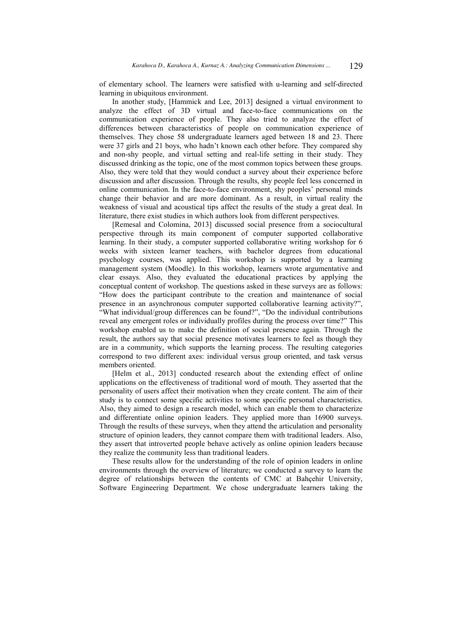of elementary school. The learners were satisfied with u-learning and self-directed learning in ubiquitous environment.

In another study, [Hammick and Lee, 2013] designed a virtual environment to analyze the effect of 3D virtual and face-to-face communications on the communication experience of people. They also tried to analyze the effect of differences between characteristics of people on communication experience of themselves. They chose 58 undergraduate learners aged between 18 and 23. There were 37 girls and 21 boys, who hadn't known each other before. They compared shy and non-shy people, and virtual setting and real-life setting in their study. They discussed drinking as the topic, one of the most common topics between these groups. Also, they were told that they would conduct a survey about their experience before discussion and after discussion. Through the results, shy people feel less concerned in online communication. In the face-to-face environment, shy peoples' personal minds change their behavior and are more dominant. As a result, in virtual reality the weakness of visual and acoustical tips affect the results of the study a great deal. In literature, there exist studies in which authors look from different perspectives.

[Remesal and Colomina, 2013] discussed social presence from a sociocultural perspective through its main component of computer supported collaborative learning. In their study, a computer supported collaborative writing workshop for 6 weeks with sixteen learner teachers, with bachelor degrees from educational psychology courses, was applied. This workshop is supported by a learning management system (Moodle). In this workshop, learners wrote argumentative and clear essays. Also, they evaluated the educational practices by applying the conceptual content of workshop. The questions asked in these surveys are as follows: "How does the participant contribute to the creation and maintenance of social presence in an asynchronous computer supported collaborative learning activity?", "What individual/group differences can be found?", "Do the individual contributions reveal any emergent roles or individually profiles during the process over time?" This workshop enabled us to make the definition of social presence again. Through the result, the authors say that social presence motivates learners to feel as though they are in a community, which supports the learning process. The resulting categories correspond to two different axes: individual versus group oriented, and task versus members oriented.

[Helm et al., 2013] conducted research about the extending effect of online applications on the effectiveness of traditional word of mouth. They asserted that the personality of users affect their motivation when they create content. The aim of their study is to connect some specific activities to some specific personal characteristics. Also, they aimed to design a research model, which can enable them to characterize and differentiate online opinion leaders. They applied more than 16900 surveys. Through the results of these surveys, when they attend the articulation and personality structure of opinion leaders, they cannot compare them with traditional leaders. Also, they assert that introverted people behave actively as online opinion leaders because they realize the community less than traditional leaders.

These results allow for the understanding of the role of opinion leaders in online environments through the overview of literature; we conducted a survey to learn the degree of relationships between the contents of CMC at Bahçehir University, Software Engineering Department. We chose undergraduate learners taking the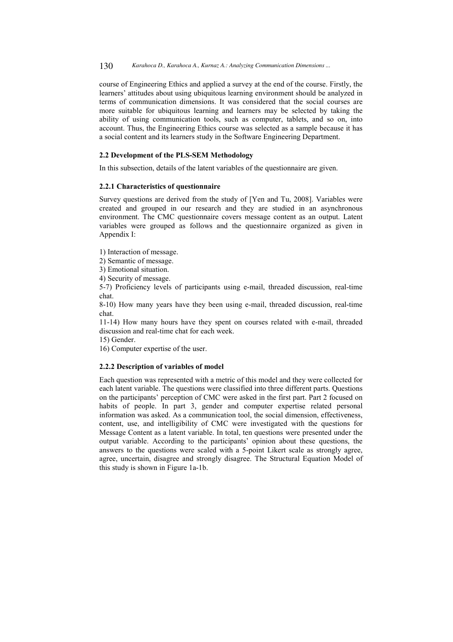130 *Karahoca D., Karahoca A., Kurnaz A.: Analyzing Communication Dimensions ...*

course of Engineering Ethics and applied a survey at the end of the course. Firstly, the learners' attitudes about using ubiquitous learning environment should be analyzed in terms of communication dimensions. It was considered that the social courses are more suitable for ubiquitous learning and learners may be selected by taking the ability of using communication tools, such as computer, tablets, and so on, into account. Thus, the Engineering Ethics course was selected as a sample because it has a social content and its learners study in the Software Engineering Department.

### **2.2 Development of the PLS-SEM Methodology**

In this subsection, details of the latent variables of the questionnaire are given.

#### **2.2.1 Characteristics of questionnaire**

Survey questions are derived from the study of [Yen and Tu, 2008]. Variables were created and grouped in our research and they are studied in an asynchronous environment. The CMC questionnaire covers message content as an output. Latent variables were grouped as follows and the questionnaire organized as given in Appendix I:

1) Interaction of message.

2) Semantic of message.

3) Emotional situation.

4) Security of message.

5-7) Proficiency levels of participants using e-mail, threaded discussion, real-time chat.

8-10) How many years have they been using e-mail, threaded discussion, real-time chat.

11-14) How many hours have they spent on courses related with e-mail, threaded discussion and real-time chat for each week.

15) Gender.

16) Computer expertise of the user.

### **2.2.2 Description of variables of model**

Each question was represented with a metric of this model and they were collected for each latent variable. The questions were classified into three different parts. Questions on the participants' perception of CMC were asked in the first part. Part 2 focused on habits of people. In part 3, gender and computer expertise related personal information was asked. As a communication tool, the social dimension, effectiveness, content, use, and intelligibility of CMC were investigated with the questions for Message Content as a latent variable. In total, ten questions were presented under the output variable. According to the participants' opinion about these questions, the answers to the questions were scaled with a 5-point Likert scale as strongly agree, agree, uncertain, disagree and strongly disagree. The Structural Equation Model of this study is shown in Figure 1a-1b.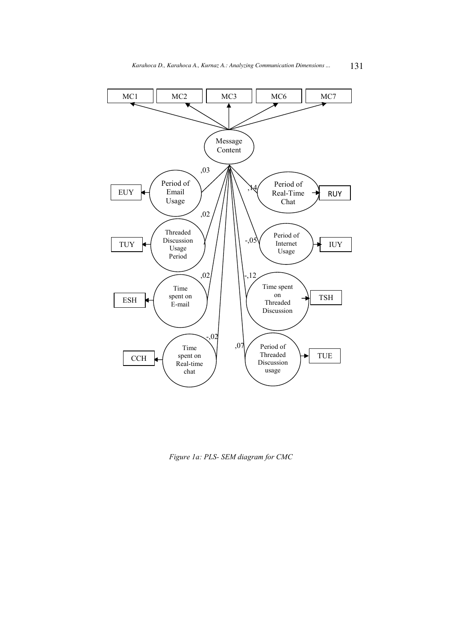

*Figure 1a: PLS- SEM diagram for CMC*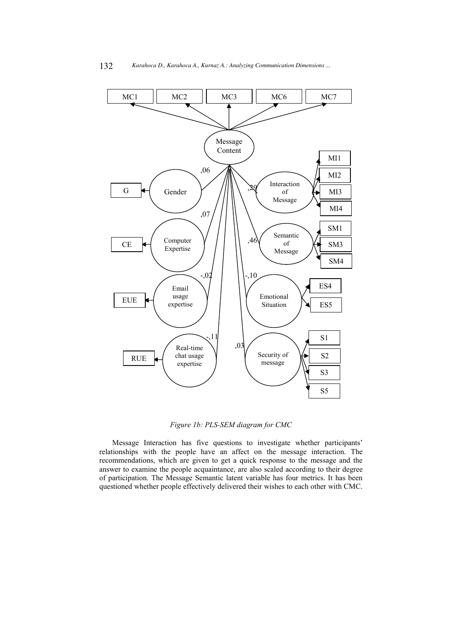

*Figure 1b: PLS-SEM diagram for CMC* 

Message Interaction has five questions to investigate whether participants' relationships with the people have an affect on the message interaction. The recommendations, which are given to get a quick response to the message and the answer to examine the people acquaintance, are also scaled according to their degree of participation. The Message Semantic latent variable has four metrics. It has been questioned whether people effectively delivered their wishes to each other with CMC.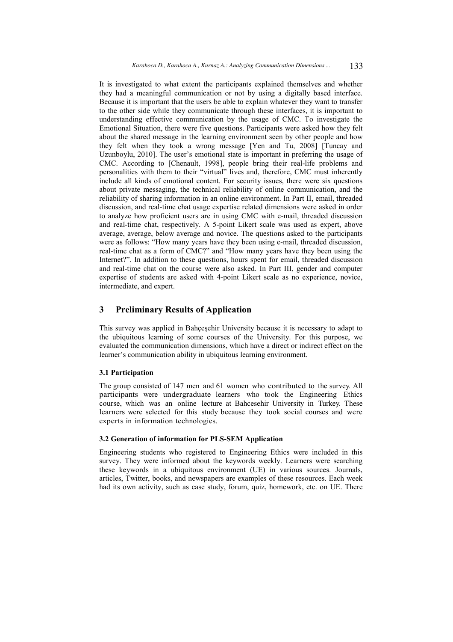It is investigated to what extent the participants explained themselves and whether they had a meaningful communication or not by using a digitally based interface. Because it is important that the users be able to explain whatever they want to transfer to the other side while they communicate through these interfaces, it is important to understanding effective communication by the usage of CMC. To investigate the Emotional Situation, there were five questions. Participants were asked how they felt about the shared message in the learning environment seen by other people and how they felt when they took a wrong message [Yen and Tu, 2008] [Tuncay and Uzunboylu, 2010]. The user's emotional state is important in preferring the usage of CMC. According to [Chenault, 1998], people bring their real-life problems and personalities with them to their "virtual" lives and, therefore, CMC must inherently include all kinds of emotional content. For security issues, there were six questions about private messaging, the technical reliability of online communication, and the reliability of sharing information in an online environment. In Part II, email, threaded discussion, and real-time chat usage expertise related dimensions were asked in order to analyze how proficient users are in using CMC with e-mail, threaded discussion and real-time chat, respectively. A 5-point Likert scale was used as expert, above average, average, below average and novice. The questions asked to the participants were as follows: "How many years have they been using e-mail, threaded discussion, real-time chat as a form of CMC?" and "How many years have they been using the Internet?". In addition to these questions, hours spent for email, threaded discussion and real-time chat on the course were also asked. In Part III, gender and computer expertise of students are asked with 4-point Likert scale as no experience, novice, intermediate, and expert.

### **3 Preliminary Results of Application**

This survey was applied in Bahçeşehir University because it is necessary to adapt to the ubiquitous learning of some courses of the University. For this purpose, we evaluated the communication dimensions, which have a direct or indirect effect on the learner's communication ability in ubiquitous learning environment.

### **3.1 Participation**

The group consisted of 147 men and 61 women who contributed to the survey. All participants were undergraduate learners who took the Engineering Ethics course, which was an online lecture at Bahcesehir University in Turkey. These learners were selected for this study because they took social courses and were experts in information technologies.

### **3.2 Generation of information for PLS-SEM Application**

Engineering students who registered to Engineering Ethics were included in this survey. They were informed about the keywords weekly. Learners were searching these keywords in a ubiquitous environment (UE) in various sources. Journals, articles, Twitter, books, and newspapers are examples of these resources. Each week had its own activity, such as case study, forum, quiz, homework, etc. on UE. There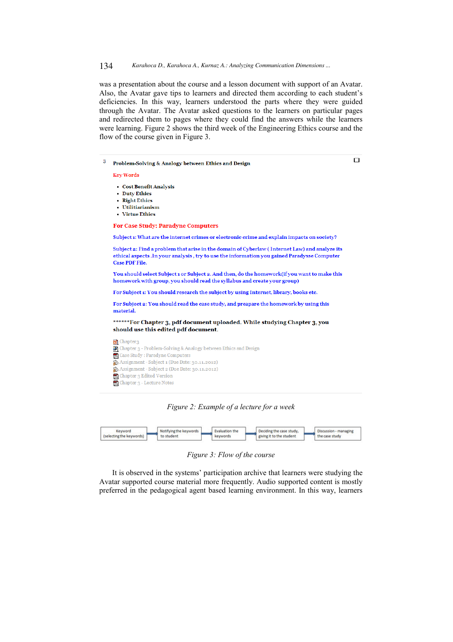#### 134 *Karahoca D., Karahoca A., Kurnaz A.: Analyzing Communication Dimensions ...*

was a presentation about the course and a lesson document with support of an Avatar. Also, the Avatar gave tips to learners and directed them according to each student's deficiencies. In this way, learners understood the parts where they were guided through the Avatar. The Avatar asked questions to the learners on particular pages and redirected them to pages where they could find the answers while the learners were learning. Figure 2 shows the third week of the Engineering Ethics course and the flow of the course given in Figure 3.

 $\Box$ 

 $\overline{\mathbf{3}}$ Problem-Solving & Analogy between Ethics and Design

Key Words

- Cost Benefit Analysis
- Duty Ethics
- . Pight Fthics . IItilitiarianism
- Virtue Ethics

**For Case Study: Paradyne Computers** 

Subject 1: What are the internet crimes or electronic crime and explain impacts on society?

Subject 2: Find a problem that arise in the domain of Cyberlaw (Internet Law) and analyze its ethical aspects .In your analysis, try to use the information you gained Paradysse Computer Case PDF File.

You should select Subject 1 or Subject 2. And then, do the homework(if you want to make this homework with group, you should read the syllabus and create your group)

For Subject 1: You should research the subject by using Internet, library, books etc.

For Subject 2: You should read the case study, and preapare the homework by using this material.

\*\*\*\*\*\*For Chapter 3, pdf document uploaded. While studying Chapter 3, you should use this edited pdf document.



*Figure 2: Example of a lecture for a week* 

| Keyword                  | Notifying the keywords | <b>Evaluation the</b> | Deciding the case study, | Discussion - managing |
|--------------------------|------------------------|-----------------------|--------------------------|-----------------------|
| (selecting the keywords) | to student             | keywords              | giving it to the student | the case study        |

*Figure 3: Flow of the course* 

It is observed in the systems' participation archive that learners were studying the Avatar supported course material more frequently. Audio supported content is mostly preferred in the pedagogical agent based learning environment. In this way, learners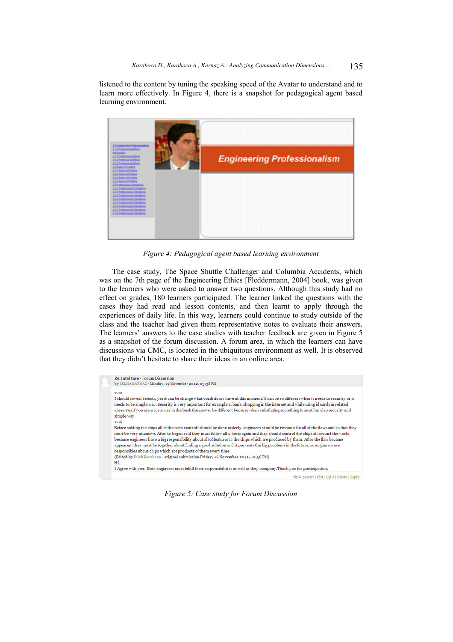listened to the content by tuning the speaking speed of the Avatar to understand and to learn more effectively. In Figure 4, there is a snapshot for pedagogical agent based learning environment.



*Figure 4: Pedagogical agent based learning environment* 

The case study, The Space Shuttle Challenger and Columbia Accidents, which was on the 7th page of the Engineering Ethics [Fleddermann, 2004] book, was given to the learners who were asked to answer two questions. Although this study had no effect on grades, 180 learners participated. The learner linked the questions with the cases they had read and lesson contents, and then learnt to apply through the experiences of daily life. In this way, learners could continue to study outside of the class and the teacher had given them representative notes to evaluate their answers. The learners' answers to the case studies with teacher feedback are given in Figure 5 as a snapshot of the forum discussion. A forum area, in which the learners can have discussions via CMC, is located in the ubiquitous environment as well. It is observed that they didn't hesitate to share their ideas in an online area.

| Re: Intel Case - Forum Discussion                                                                                                                                                                                                                                                                                                                                                                                                                  |
|----------------------------------------------------------------------------------------------------------------------------------------------------------------------------------------------------------------------------------------------------------------------------------------------------------------------------------------------------------------------------------------------------------------------------------------------------|
| by SELMA KAYMAZ - Monday, 19 November 2012, 03:38 PM                                                                                                                                                                                                                                                                                                                                                                                               |
| 2.10                                                                                                                                                                                                                                                                                                                                                                                                                                               |
| I should reveal defects, yes it can be change what conditions I have at this moment.It can be so different when it needs to security or it<br>needs to be simple way. Security is very important for example at bank, shopping in the internet and while using id cards in related<br>areas. Yes if you are a customer in the bank the answer be different because when calculating something it must has also security and<br>simple way.<br>2.16 |
| Before solding the chips all of the tests controls should be done orderly, engineers should be responsible all of the flaws and so that they                                                                                                                                                                                                                                                                                                       |
| must be very attantive. After to began sold they must follow all of tests again and they should control the chips all around the world                                                                                                                                                                                                                                                                                                             |
| because engineers have a big responsibility about all of features in the chips which are produced by them. After the flaw became<br>appearent they must be together about finding a good solution and it prevents the big problems in the future, so enginners are<br>responsibles about chips which are products of them every time                                                                                                               |
| (Edited by Dilek Karahoca - original submission Friday, 16 November 2012, 10:36 PM)                                                                                                                                                                                                                                                                                                                                                                |
| Hİ.                                                                                                                                                                                                                                                                                                                                                                                                                                                |
| I Agree with you. Both engineers must fulfill their responsibilities as well as they company.Thank you for participation.                                                                                                                                                                                                                                                                                                                          |
| Show parent   Edit   Split   Delete   Reply                                                                                                                                                                                                                                                                                                                                                                                                        |

*Figure 5: Case study for Forum Discussion*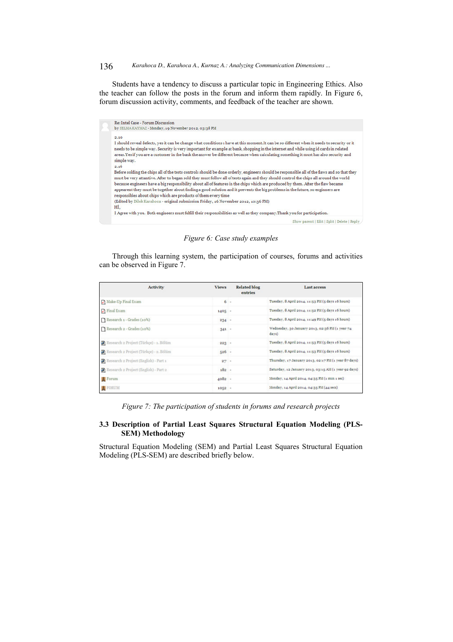136 *Karahoca D., Karahoca A., Kurnaz A.: Analyzing Communication Dimensions ...*

Students have a tendency to discuss a particular topic in Engineering Ethics. Also the teacher can follow the posts in the forum and inform them rapidly. In Figure 6, forum discussion activity, comments, and feedback of the teacher are shown.



*Figure 6: Case study examples* 

Through this learning system, the participation of courses, forums and activities can be observed in Figure 7.

| <b>Activity</b>                        | <b>Views</b> | <b>Related blog</b><br>entries | Last access                                              |
|----------------------------------------|--------------|--------------------------------|----------------------------------------------------------|
| Make-Up Final Exam                     | $6 -$        |                                | Tuesday, 8 April 2014, 11:53 PM (5 days 16 hours)        |
| Tinal Exam                             | $1405 -$     |                                | Tuesday, 8 April 2014, 11:52 PM (5 days 16 hours)        |
| Research 1 - Grades (10%)              | $234 -$      |                                | Tuesday, 8 April 2014, 11:49 PM (5 days 16 hours)        |
| Research 2 - Grades (10%)              | $341 -$      |                                | Wednesday, 30 January 2013, 02:36 PM (1 year 74<br>days) |
| Research 2 Project (Türkçe) - 1. Bölüm | $223 -$      |                                | Tuesday, 8 April 2014, 11:53 PM (5 days 16 hours)        |
| Research 2 Project (Türkçe) - 2. Bölüm | $526 -$      |                                | Tuesday, 8 April 2014, 11:53 PM (5 days 16 hours)        |
| Research 2 Project (English) - Part 1  | 27           |                                | Thursday, 17 January 2013, 02:17 PM (1 year 87 days)     |
| Research 2 Project (English) - Part 2  | $182 -$      |                                | Saturday, 12 January 2013, 03:15 AM (1 year 92 days)     |
| <b>E</b> Forum                         | $4082 -$     |                                | Monday, 14 April 2014, 04:35 PM (1 min 1 sec)            |
| FORUM                                  | $1052 -$     |                                | Monday, 14 April 2014, 04:35 PM (44 secs)                |

*Figure 7: The participation of students in forums and research projects* 

### **3.3 Description of Partial Least Squares Structural Equation Modeling (PLS-SEM) Methodology**

Structural Equation Modeling (SEM) and Partial Least Squares Structural Equation Modeling (PLS-SEM) are described briefly below.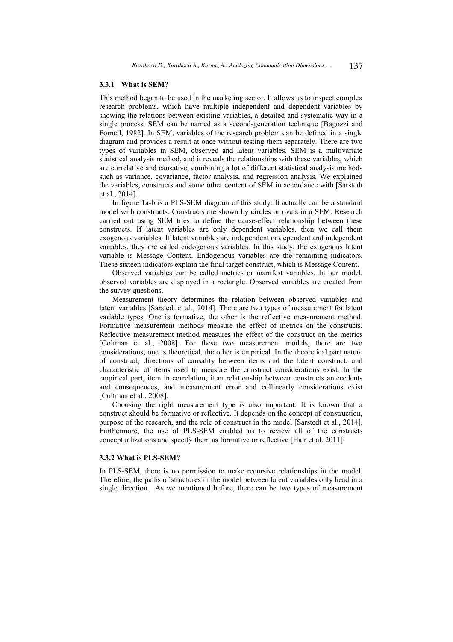#### **3.3.1 What is SEM?**

This method began to be used in the marketing sector. It allows us to inspect complex research problems, which have multiple independent and dependent variables by showing the relations between existing variables, a detailed and systematic way in a single process. SEM can be named as a second-generation technique [Bagozzi and Fornell, 1982]. In SEM, variables of the research problem can be defined in a single diagram and provides a result at once without testing them separately. There are two types of variables in SEM, observed and latent variables. SEM is a multivariate statistical analysis method, and it reveals the relationships with these variables, which are correlative and causative, combining a lot of different statistical analysis methods such as variance, covariance, factor analysis, and regression analysis. We explained the variables, constructs and some other content of SEM in accordance with [Sarstedt et al., 2014].

In figure 1a-b is a PLS-SEM diagram of this study. It actually can be a standard model with constructs. Constructs are shown by circles or ovals in a SEM. Research carried out using SEM tries to define the cause-effect relationship between these constructs. If latent variables are only dependent variables, then we call them exogenous variables. If latent variables are independent or dependent and independent variables, they are called endogenous variables. In this study, the exogenous latent variable is Message Content. Endogenous variables are the remaining indicators. These sixteen indicators explain the final target construct, which is Message Content.

Observed variables can be called metrics or manifest variables. In our model, observed variables are displayed in a rectangle. Observed variables are created from the survey questions.

Measurement theory determines the relation between observed variables and latent variables [Sarstedt et al., 2014]. There are two types of measurement for latent variable types. One is formative, the other is the reflective measurement method. Formative measurement methods measure the effect of metrics on the constructs. Reflective measurement method measures the effect of the construct on the metrics [Coltman et al., 2008]. For these two measurement models, there are two considerations; one is theoretical, the other is empirical. In the theoretical part nature of construct, directions of causality between items and the latent construct, and characteristic of items used to measure the construct considerations exist. In the empirical part, item in correlation, item relationship between constructs antecedents and consequences, and measurement error and collinearly considerations exist [Coltman et al., 2008].

Choosing the right measurement type is also important. It is known that a construct should be formative or reflective. It depends on the concept of construction, purpose of the research, and the role of construct in the model [Sarstedt et al., 2014]. Furthermore, the use of PLS-SEM enabled us to review all of the constructs conceptualizations and specify them as formative or reflective [Hair et al. 2011].

#### **3.3.2 What is PLS-SEM?**

In PLS-SEM, there is no permission to make recursive relationships in the model. Therefore, the paths of structures in the model between latent variables only head in a single direction. As we mentioned before, there can be two types of measurement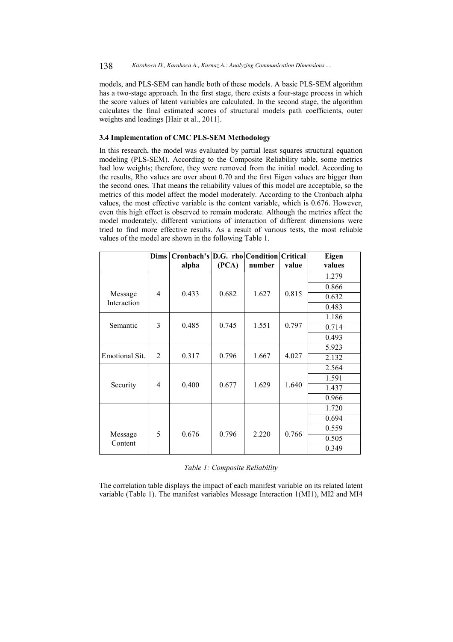models, and PLS-SEM can handle both of these models. A basic PLS-SEM algorithm has a two-stage approach. In the first stage, there exists a four-stage process in which the score values of latent variables are calculated. In the second stage, the algorithm calculates the final estimated scores of structural models path coefficients, outer weights and loadings [Hair et al., 2011].

### **3.4 Implementation of CMC PLS-SEM Methodology**

In this research, the model was evaluated by partial least squares structural equation modeling (PLS-SEM). According to the Composite Reliability table, some metrics had low weights; therefore, they were removed from the initial model. According to the results, Rho values are over about 0.70 and the first Eigen values are bigger than the second ones. That means the reliability values of this model are acceptable, so the metrics of this model affect the model moderately. According to the Cronbach alpha values, the most effective variable is the content variable, which is 0.676. However, even this high effect is observed to remain moderate. Although the metrics affect the model moderately, different variations of interaction of different dimensions were tried to find more effective results. As a result of various tests, the most reliable values of the model are shown in the following Table 1.

|                       | <b>Dims</b>    | Cronbach's D.G. rho Condition Critical<br>alpha | (PCA) | number | value | Eigen<br>values |
|-----------------------|----------------|-------------------------------------------------|-------|--------|-------|-----------------|
|                       |                |                                                 |       |        |       | 1.279           |
|                       |                |                                                 |       |        |       | 0.866           |
| Message               | 4              | 0.433                                           | 0.682 | 1.627  | 0.815 | 0.632           |
| Interaction           |                |                                                 |       |        |       | 0.483           |
|                       |                |                                                 |       |        |       | 1.186           |
| Semantic              | 3              | 0.485                                           | 0.745 | 1.551  | 0.797 | 0.714           |
|                       |                |                                                 |       |        |       | 0.493           |
|                       |                |                                                 |       |        |       | 5.923           |
| <b>Emotional Sit.</b> | $\overline{2}$ | 0.317                                           | 0.796 | 1.667  | 4.027 | 2.132           |
| Security              | 4              | 0.400                                           | 0.677 | 1.629  | 1.640 | 2.564           |
|                       |                |                                                 |       |        |       | 1.591           |
|                       |                |                                                 |       |        |       | 1.437           |
|                       |                |                                                 |       |        |       | 0.966           |
|                       |                |                                                 |       |        |       | 1.720           |
|                       |                |                                                 |       |        |       | 0.694           |
|                       | 5              | 0.676                                           | 0.796 | 2.220  | 0.766 | 0.559           |
| Message<br>Content    |                |                                                 |       |        |       | 0.505           |
|                       |                |                                                 |       |        |       | 0.349           |

*Table 1: Composite Reliability* 

The correlation table displays the impact of each manifest variable on its related latent variable (Table 1). The manifest variables Message Interaction 1(MI1), MI2 and MI4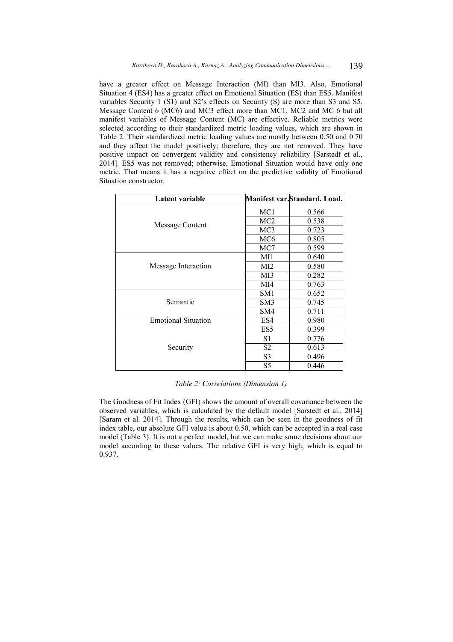have a greater effect on Message Interaction (MI) than MI3. Also, Emotional Situation 4 (ES4) has a greater effect on Emotional Situation (ES) than ES5. Manifest variables Security 1 (S1) and S2's effects on Security (S) are more than S3 and S5. Message Content 6 (MC6) and MC3 effect more than MC1, MC2 and MC 6 but all manifest variables of Message Content (MC) are effective. Reliable metrics were selected according to their standardized metric loading values, which are shown in Table 2. Their standardized metric loading values are mostly between 0.50 and 0.70 and they affect the model positively; therefore, they are not removed. They have positive impact on convergent validity and consistency reliability [Sarstedt et al., 2014]. ES5 was not removed; otherwise, Emotional Situation would have only one metric. That means it has a negative effect on the predictive validity of Emotional Situation constructor.

| Latent variable            |                 | Manifest var.Standard. Load. |
|----------------------------|-----------------|------------------------------|
|                            | MC <sub>1</sub> | 0.566                        |
|                            | MC <sub>2</sub> | 0.538                        |
| Message Content            | MC <sub>3</sub> | 0.723                        |
|                            | MC <sub>6</sub> | 0.805                        |
|                            | MC7             | 0.599                        |
|                            | MI1             | 0.640                        |
| Message Interaction        | MI2             | 0.580                        |
|                            | MI3             | 0.282                        |
|                            | MI4             | 0.763                        |
|                            | SM <sub>1</sub> | 0.652                        |
| Semantic                   | SM <sub>3</sub> | 0.745                        |
|                            | SM4             | 0.711                        |
| <b>Emotional Situation</b> | ES4             | 0.980                        |
|                            | ES <sub>5</sub> | 0.399                        |
|                            | S1              | 0.776                        |
| Security                   | S2              | 0.613                        |
|                            | S <sub>3</sub>  | 0.496                        |
|                            | S5              | 0.446                        |

*Table 2: Correlations (Dimension 1)* 

The Goodness of Fit Index (GFI) shows the amount of overall covariance between the observed variables, which is calculated by the default model [Sarstedt et al., 2014] [Saram et al. 2014]. Through the results, which can be seen in the goodness of fit index table, our absolute GFI value is about 0.50, which can be accepted in a real case model (Table 3). It is not a perfect model, but we can make some decisions about our model according to these values. The relative GFI is very high, which is equal to 0.937.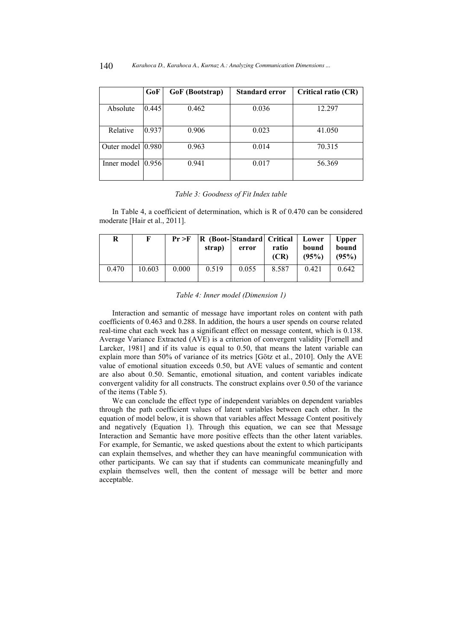|                   | GoF   | GoF (Bootstrap) | Standard error | Critical ratio (CR) |  |
|-------------------|-------|-----------------|----------------|---------------------|--|
| Absolute          | 0.445 | 0.462           | 0.036          | 12.297              |  |
| Relative          | 0.937 | 0.906           | 0.023          | 41.050              |  |
| Outer model 0.980 |       | 0.963           | 0.014          | 70.315              |  |
| Inner model       | 0.956 | 0.941           | 0.017          | 56.369              |  |

#### *Table 3: Goodness of Fit Index table*

In Table 4, a coefficient of determination, which is R of 0.470 can be considered moderate [Hair et al., 2011].

| R     | F      | Pr > F | R (Boot-Standard  Critical   Lower<br>strap) | error | ratio<br>(CR) | bound<br>(95%) | <b>Upper</b><br>bound<br>(95%) |
|-------|--------|--------|----------------------------------------------|-------|---------------|----------------|--------------------------------|
| 0.470 | 10.603 | 0.000  | 0.519                                        | 0.055 | 8.587         | 0.421          | 0.642                          |

#### *Table 4: Inner model (Dimension 1)*

Interaction and semantic of message have important roles on content with path coefficients of 0.463 and 0.288. In addition, the hours a user spends on course related real-time chat each week has a significant effect on message content, which is 0.138. Average Variance Extracted (AVE) is a criterion of convergent validity [Fornell and Larcker, 1981] and if its value is equal to 0.50, that means the latent variable can explain more than 50% of variance of its metrics [Götz et al., 2010]. Only the AVE value of emotional situation exceeds 0.50, but AVE values of semantic and content are also about 0.50. Semantic, emotional situation, and content variables indicate convergent validity for all constructs. The construct explains over 0.50 of the variance of the items (Table 5).

We can conclude the effect type of independent variables on dependent variables through the path coefficient values of latent variables between each other. In the equation of model below, it is shown that variables affect Message Content positively and negatively (Equation 1). Through this equation, we can see that Message Interaction and Semantic have more positive effects than the other latent variables. For example, for Semantic, we asked questions about the extent to which participants can explain themselves, and whether they can have meaningful communication with other participants. We can say that if students can communicate meaningfully and explain themselves well, then the content of message will be better and more acceptable.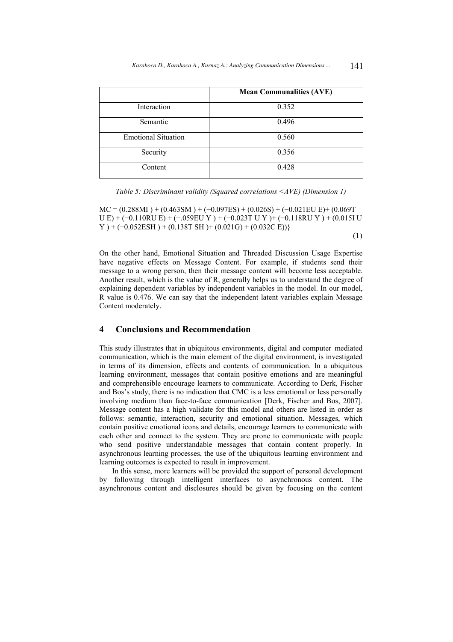|                            | <b>Mean Communalities (AVE)</b> |
|----------------------------|---------------------------------|
| Interaction                | 0.352                           |
| Semantic                   | 0.496                           |
| <b>Emotional Situation</b> | 0.560                           |
| Security                   | 0.356                           |
| Content                    | 0.428                           |

*Table 5: Discriminant validity (Squared correlations <AVE) (Dimension 1)* 

 $MC = (0.288M1) + (0.463SM) + (-0.097ES) + (0.026S) + (-0.021EUE) + (0.069T)$ U E) + (−0.110RU E) + (−.059EU Y ) + (−0.023T U Y )+ (−0.118RU Y ) + (0.015I U  $Y$  ) + (-0.052ESH) + (0.138T SH) + (0.021G) + (0.032C E))}

(1)

On the other hand, Emotional Situation and Threaded Discussion Usage Expertise have negative effects on Message Content. For example, if students send their message to a wrong person, then their message content will become less acceptable. Another result, which is the value of R, generally helps us to understand the degree of explaining dependent variables by independent variables in the model. In our model, R value is 0.476. We can say that the independent latent variables explain Message Content moderately.

## **4 Conclusions and Recommendation**

This study illustrates that in ubiquitous environments, digital and computer mediated communication, which is the main element of the digital environment, is investigated in terms of its dimension, effects and contents of communication. In a ubiquitous learning environment, messages that contain positive emotions and are meaningful and comprehensible encourage learners to communicate. According to Derk, Fischer and Bos's study, there is no indication that CMC is a less emotional or less personally involving medium than face-to-face communication [Derk, Fischer and Bos, 2007]. Message content has a high validate for this model and others are listed in order as follows: semantic, interaction, security and emotional situation. Messages, which contain positive emotional icons and details, encourage learners to communicate with each other and connect to the system. They are prone to communicate with people who send positive understandable messages that contain content properly. In asynchronous learning processes, the use of the ubiquitous learning environment and learning outcomes is expected to result in improvement.

In this sense, more learners will be provided the support of personal development by following through intelligent interfaces to asynchronous content. The asynchronous content and disclosures should be given by focusing on the content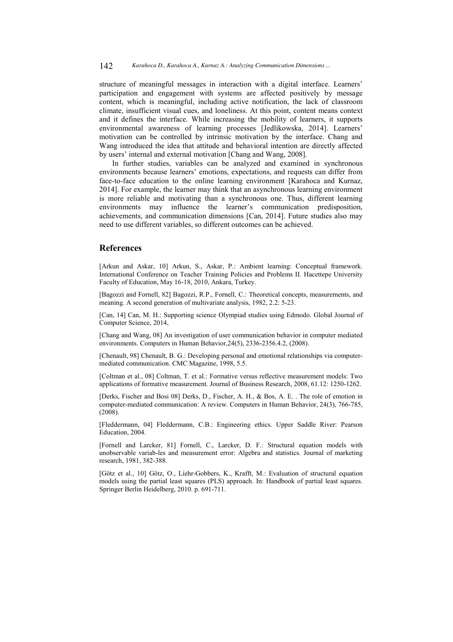structure of meaningful messages in interaction with a digital interface. Learners' participation and engagement with systems are affected positively by message content, which is meaningful, including active notification, the lack of classroom climate, insufficient visual cues, and loneliness. At this point, content means context and it defines the interface. While increasing the mobility of learners, it supports environmental awareness of learning processes [Jedlikowska, 2014]. Learners' motivation can be controlled by intrinsic motivation by the interface. Chang and Wang introduced the idea that attitude and behavioral intention are directly affected by users' internal and external motivation [Chang and Wang, 2008].

In further studies, variables can be analyzed and examined in synchronous environments because learners' emotions, expectations, and requests can differ from face-to-face education to the online learning environment [Karahoca and Kurnaz, 2014]. For example, the learner may think that an asynchronous learning environment is more reliable and motivating than a synchronous one. Thus, different learning environments may influence the learner's communication predisposition, achievements, and communication dimensions [Can, 2014]. Future studies also may need to use different variables, so different outcomes can be achieved.

### **References**

[Arkun and Askar, 10] Arkun, S., Askar, P.: Ambient learning: Conceptual framework. International Conference on Teacher Training Policies and Problems II. Hacettepe University Faculty of Education, May 16-18, 2010, Ankara, Turkey.

[Bagozzi and Fornell, 82] Bagozzi, R.P., Fornell, C.: Theoretical concepts, measurements, and meaning. A second generation of multivariate analysis, 1982, 2.2: 5-23.

[Can, 14] Can, M. H.: Supporting science Olympiad studies using Edmodo. Global Journal of Computer Science, 2014,

[Chang and Wang, 08] An investigation of user communication behavior in computer mediated environments. Computers in Human Behavior,24(5), 2336-2356.4.2, (2008).

[Chenault, 98] Chenault, B. G.: Developing personal and emotional relationships via computermediated communication. CMC Magazine, 1998, 5.5.

[Coltman et al., 08] Coltman, T. et al.: Formative versus reflective measurement models: Two applications of formative measurement. Journal of Business Research, 2008, 61.12: 1250-1262.

[Derks, Fischer and Bosi 08] Derks, D., Fischer, A. H., & Bos, A. E. . The role of emotion in computer-mediated communication: A review. Computers in Human Behavior, 24(3), 766-785, (2008).

[Fleddermann, 04] Fleddermann, C.B.: Engineering ethics. Upper Saddle River: Pearson Education, 2004.

[Fornell and Larcker, 81] Fornell, C., Larcker, D. F.: Structural equation models with unobservable variab-les and measurement error: Algebra and statistics. Journal of marketing research, 1981, 382-388.

[Götz et al., 10] Götz, O., Liehr-Gobbers, K., Krafft, M.: Evaluation of structural equation models using the partial least squares (PLS) approach. In: Handbook of partial least squares. Springer Berlin Heidelberg, 2010. p. 691-711.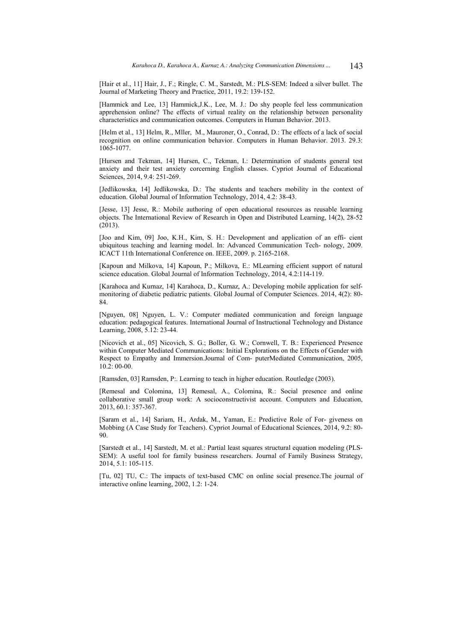[Hair et al., 11] Hair, J., F.; Ringle, C. M., Sarstedt, M.: PLS-SEM: Indeed a silver bullet. The Journal of Marketing Theory and Practice, 2011, 19.2: 139-152.

[Hammick and Lee, 13] Hammick,J.K., Lee, M. J.: Do shy people feel less communication apprehension online? The effects of virtual reality on the relationship between personality characteristics and communication outcomes. Computers in Human Behavior. 2013.

[Helm et al., 13] Helm, R., Mller, M., Mauroner, O., Conrad, D.: The effects of a lack of social recognition on online communication behavior. Computers in Human Behavior. 2013. 29.3: 1065-1077.

[Hursen and Tekman, 14] Hursen, C., Tekman, I.: Determination of students general test anxiety and their test anxiety corcerning English classes. Cypriot Journal of Educational Sciences, 2014, 9.4: 251-269.

[Jedlikowska, 14] Jedlikowska, D.: The students and teachers mobility in the context of education. Global Journal of Information Technology, 2014, 4.2: 38-43.

[Jesse, 13] Jesse, R.: Mobile authoring of open educational resources as reusable learning objects. The International Review of Research in Open and Distributed Learning, 14(2), 28-52 (2013).

[Joo and Kim, 09] Joo, K.H., Kim, S. H.: Development and application of an effi- cient ubiquitous teaching and learning model. In: Advanced Communication Tech- nology, 2009. ICACT 11th International Conference on. IEEE, 2009. p. 2165-2168.

[Kapoun and Milkova, 14] Kapoun, P.; Milkova, E.: MLearning efficient support of natural science education. Global Journal of Information Technology, 2014, 4.2:114-119.

[Karahoca and Kurnaz, 14] Karahoca, D., Kurnaz, A.: Developing mobile application for selfmonitoring of diabetic pediatric patients. Global Journal of Computer Sciences. 2014, 4(2): 80-84.

[Nguyen, 08] Nguyen, L. V.: Computer mediated communication and foreign language education: pedagogical features. International Journal of Instructional Technology and Distance Learning, 2008, 5.12: 23-44.

[Nicovich et al., 05] Nicovich, S. G.; Boller, G. W.; Cornwell, T. B.: Experienced Presence within Computer Mediated Communications: Initial Explorations on the Effects of Gender with Respect to Empathy and Immersion.Journal of Com- puterMediated Communication, 2005, 10.2: 00-00.

[Ramsden, 03] Ramsden, P:. Learning to teach in higher education. Routledge (2003).

[Remesal and Colomina, 13] Remesal, A., Colomina, R.: Social presence and online collaborative small group work: A socioconstructivist account. Computers and Education, 2013, 60.1: 357-367.

[Saram et al., 14] Sariam, H., Ardak, M., Yaman, E.: Predictive Role of For- giveness on Mobbing (A Case Study for Teachers). Cypriot Journal of Educational Sciences, 2014, 9.2: 80- 90.

[Sarstedt et al., 14] Sarstedt, M. et al.: Partial least squares structural equation modeling (PLS-SEM): A useful tool for family business researchers. Journal of Family Business Strategy, 2014, 5.1: 105-115.

[Tu, 02] TU, C.: The impacts of text-based CMC on online social presence.The journal of interactive online learning, 2002, 1.2: 1-24.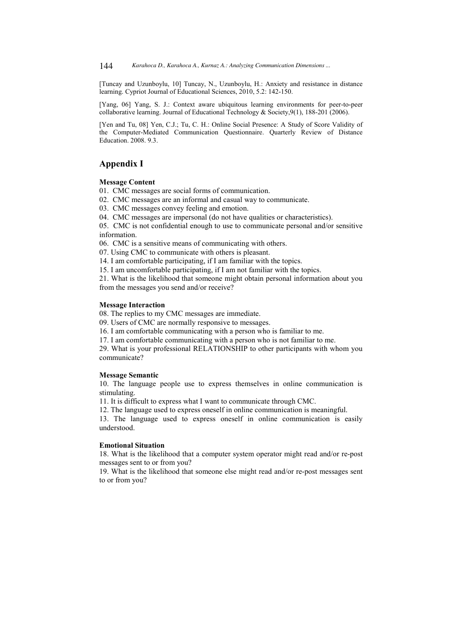144 *Karahoca D., Karahoca A., Kurnaz A.: Analyzing Communication Dimensions ...*

[Tuncay and Uzunboylu, 10] Tuncay, N., Uzunboylu, H.: Anxiety and resistance in distance learning. Cypriot Journal of Educational Sciences, 2010, 5.2: 142-150.

[Yang, 06] Yang, S. J.: Context aware ubiquitous learning environments for peer-to-peer collaborative learning. Journal of Educational Technology & Society, 9(1), 188-201 (2006).

[Yen and Tu, 08] Yen, C.J.; Tu, C. H.: Online Social Presence: A Study of Score Validity of the Computer-Mediated Communication Questionnaire. Quarterly Review of Distance Education. 2008. 9.3.

# **Appendix I**

#### **Message Content**

01. CMC messages are social forms of communication.

02. CMC messages are an informal and casual way to communicate.

03. CMC messages convey feeling and emotion.

04. CMC messages are impersonal (do not have qualities or characteristics).

05. CMC is not confidential enough to use to communicate personal and/or sensitive information.

06. CMC is a sensitive means of communicating with others.

07. Using CMC to communicate with others is pleasant.

14. I am comfortable participating, if I am familiar with the topics.

15. I am uncomfortable participating, if I am not familiar with the topics.

21. What is the likelihood that someone might obtain personal information about you from the messages you send and/or receive?

### **Message Interaction**

08. The replies to my CMC messages are immediate.

09. Users of CMC are normally responsive to messages.

16. I am comfortable communicating with a person who is familiar to me.

17. I am comfortable communicating with a person who is not familiar to me.

29. What is your professional RELATIONSHIP to other participants with whom you communicate?

#### **Message Semantic**

10. The language people use to express themselves in online communication is stimulating.

11. It is difficult to express what I want to communicate through CMC.

12. The language used to express oneself in online communication is meaningful.

13. The language used to express oneself in online communication is easily understood.

### **Emotional Situation**

18. What is the likelihood that a computer system operator might read and/or re-post messages sent to or from you?

19. What is the likelihood that someone else might read and/or re-post messages sent to or from you?